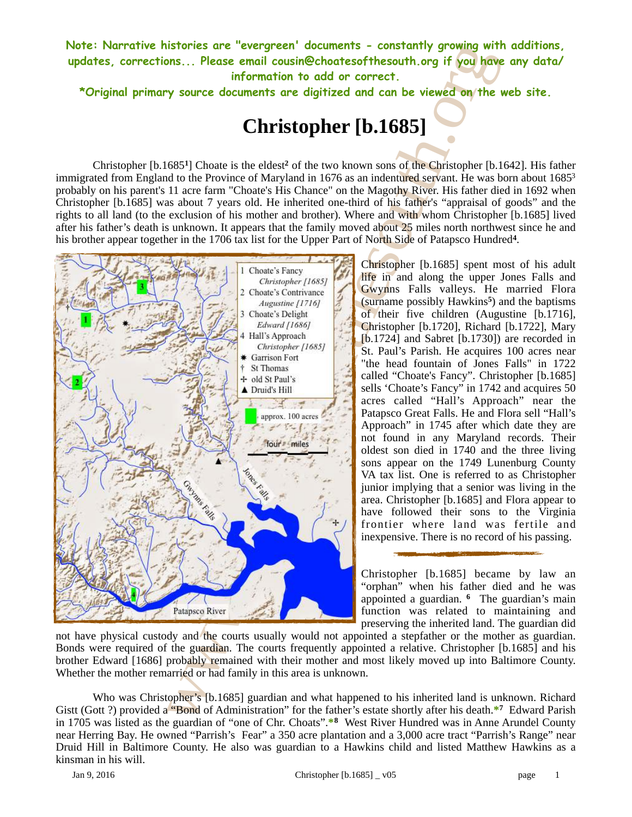**Note: Narrative histories are "evergreen' documents - constantly growing with additions, updates, corrections... Please email cousin@choatesofthesouth.org if you have any data/ information to add or correct.** 

**\*Original primary source documents are digitized and can be viewed on the web site.**

# <span id="page-0-1"></span><span id="page-0-0"></span>**Christopher [b.1685]**

Christopher  $[b.1685^1]$  Choate is the eldest<sup>2</sup> of the two known sons of the Christopher  $[b.1642]$ . His father immigrated from England to the Province of Maryland in 1676 as an indentured servant. He was born about 168[53](#page-7-2) probably on his parent's 11 acre farm "Choate's His Chance" on the Magothy River. His father died in 1692 when Christopher [b.1685] was about 7 years old. He inherited one-third of his father's "appraisal of goods" and the rights to all land (to the exclusion of his mother and brother). Where and with whom Christopher [b.1685] lived after his father's death is unknown. It appears that the family moved about 25 miles north northwest since he and his brother appear together in the 1706 tax list for the Upper Part of North Side of Patapsco Hundred<sup>[4](#page-7-3)</sup>.



<span id="page-0-4"></span><span id="page-0-3"></span><span id="page-0-2"></span>Christopher [b.1685] spent most of his adult life in and along the upper Jones Falls and Gwynns Falls valleys. He married Flora (surname possibly Hawkins<sup>5</sup>) and the baptisms of their five children (Augustine [b.1716], Christopher [b.1720], Richard [b.1722], Mary [b.1724] and Sabret [b.1730]) are recorded in St. Paul's Parish. He acquires 100 acres near "the head fountain of Jones Falls" in 1722 called "Choate's Fancy". Christopher [b.1685] sells 'Choate's Fancy" in 1742 and acquires 50 acres called "Hall's Approach" near the Patapsco Great Falls. He and Flora sell "Hall's Approach" in 1745 after which date they are not found in any Maryland records. Their oldest son died in 1740 and the three living sons appear on the 1749 Lunenburg County VA tax list. One is referred to as Christopher junior implying that a senior was living in the area. Christopher [b.1685] and Flora appear to have followed their sons to the Virginia frontier where land was fertile and inexpensive. There is no record of his passing.

<span id="page-0-7"></span><span id="page-0-6"></span><span id="page-0-5"></span>Christopher [b.1685] became by law an "orphan" when his father died and he was appointed a guardian. <sup>6</sup> The guardian's main function was related to maintaining and preserving the inherited land. The guardian did

not have physical custody and the courts usually would not appointed a stepfather or the mother as guardian. Bonds were required of the guardian. The courts frequently appointed a relative. Christopher [b.1685] and his brother Edward [1686] probably remained with their mother and most likely moved up into Baltimore County. Whether the mother remarried or had family in this area is unknown.

Who was Christopher's [b.1685] guardian and what happened to his inherited land is unknown. Richard Gistt (Gott ?) provided a "Bond of Administration" for the father's estate shortly after his death.<sup>\*7</sup> Edward Parish in 1705 was listed as the guardian of "one of Chr. Choats".\*8 West River Hundred was in Anne Arundel County near Herring Bay. He owned "Parrish's Fear" a 350 acre plantation and a 3,000 acre tract "Parrish's Range" near Druid Hill in Baltimore County. He also was guardian to a Hawkins child and listed Matthew Hawkins as a kinsman in his will.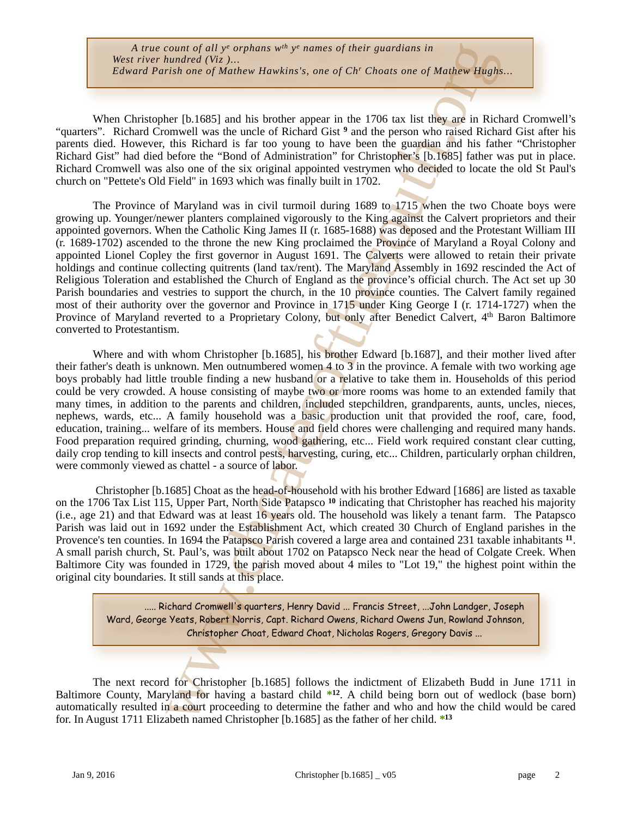<span id="page-1-0"></span>When Christopher [b.1685] and his brother appear in the 1706 tax list they are in Richard Cromwell's "quarters". Richard Cromwell was the uncle of Richard Gist <sup>9</sup> and the person who raised Richard Gist after his parents died. However, this Richard is far too young to have been the guardian and his father "Christopher Richard Gist" had died before the "Bond of Administration" for Christopher's [b.1685] father was put in place. Richard Cromwell was also one of the six original appointed vestrymen who decided to locate the old St Paul's church on "Pettete's Old Field" in 1693 which was finally built in 1702.

ownt of all  $y^*$  or<br>pharms  $w^*$   $y^*$  manns of their guardians in<br>undered (W<sub>5</sub>)...<br> **undered (W<sub>5</sub>)...**<br> **undered WAshins's, one of Chr Choats one of Mathew Haysins**<br> **ure (b).1685)** and his brother appear in the 1706 The Province of Maryland was in civil turmoil during 1689 to 1715 when the two Choate boys were growing up. Younger/newer planters complained vigorously to the King against the Calvert proprietors and their appointed governors. When the Catholic King James II (r. 1685-1688) was deposed and the Protestant William III (r. 1689-1702) ascended to the throne the new King proclaimed the Province of Maryland a Royal Colony and appointed Lionel Copley the first governor in August 1691. The Calverts were allowed to retain their private holdings and continue collecting quitrents (land tax/rent). The Maryland Assembly in 1692 rescinded the Act of Religious Toleration and established the Church of England as the province's official church. The Act set up 30 Parish boundaries and vestries to support the church, in the 10 province counties. The Calvert family regained most of their authority over the governor and Province in 1715 under King George I (r. 1714-1727) when the Province of Maryland reverted to a Proprietary Colony, but only after Benedict Calvert, 4<sup>th</sup> Baron Baltimore converted to Protestantism.

Where and with whom Christopher [b.1685], his brother Edward [b.1687], and their mother lived after their father's death is unknown. Men outnumbered women 4 to 3 in the province. A female with two working age boys probably had little trouble finding a new husband or a relative to take them in. Households of this period could be very crowded. A house consisting of maybe two or more rooms was home to an extended family that many times, in addition to the parents and children, included stepchildren, grandparents, aunts, uncles, nieces, nephews, wards, etc... A family household was a basic production unit that provided the roof, care, food, education, training... welfare of its members. House and field chores were challenging and required many hands. Food preparation required grinding, churning, wood gathering, etc... Field work required constant clear cutting, daily crop tending to kill insects and control pests, harvesting, curing, etc... Children, particularly orphan children, were commonly viewed as chattel - a source of labor.

 Christopher [b.1685] Choat as the head-of-household with his brother Edward [1686] are listed as taxable on the 1706 Tax List 115, Upper Part, North Side Patapsco<sup>10</sup> indicating that Christopher has reached his majority (i.e., age 21) and that Edward was at least 16 years old. The household was likely a tenant farm. The Patapsco Parish was laid out in 1692 under the Establishment Act, which created 30 Church of England parishes in the Provence'sten counties. In 1694 the Patapsco Parish covered a large area and contained 231 taxable inhabitants  $<sup>11</sup>$ .</sup> A small parish church, St. Paul's, was built about 1702 on Patapsco Neck near the head of Colgate Creek. When Baltimore City was founded in 1729, the parish moved about 4 miles to "Lot 19," the highest point within the original city boundaries. It still sands at this place.

<span id="page-1-4"></span><span id="page-1-3"></span><span id="page-1-2"></span><span id="page-1-1"></span>..... Richard Cromwell's quarters, Henry David ... Francis Street, ...John Landger, Joseph Ward, George Yeats, Robert Norris, Capt. Richard Owens, Richard Owens Jun, Rowland Johnson, Christopher Choat, Edward Choat, Nicholas Rogers, Gregory Davis ...

The next record for Christopher [b.1685] follows the indictment of Elizabeth Budd in June 1711 in Baltimore County, Maryland for having a bastard child \*12. A child being born out of wedlock (base born) automatically resulted in a court proceeding to determine the father and who and how the child would be cared for. In August 1711 Elizabeth named Christopher [b.1685] as the father of her child. **\*13**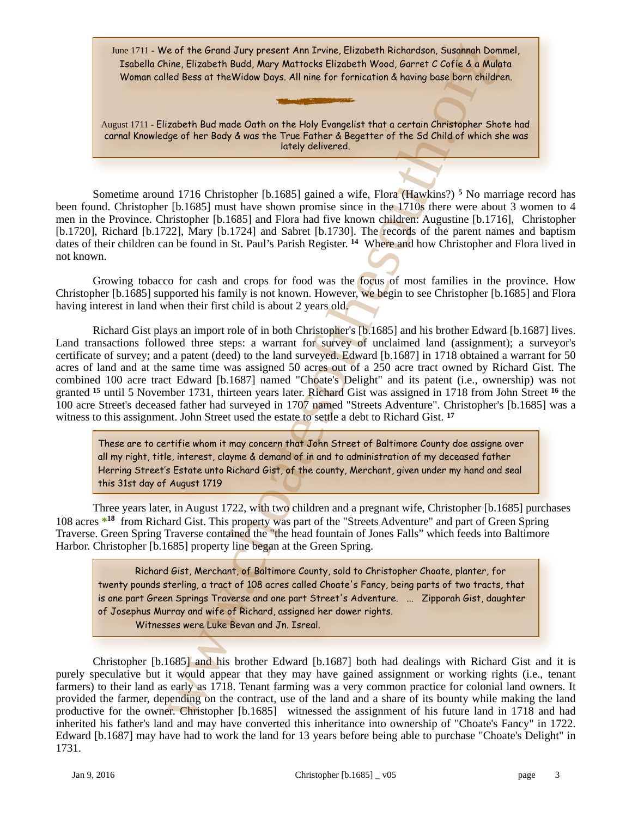June 1711 - We of the Grand Jury present Ann Irvine, Elizabeth Richardson, Susannah Dommel, Isabella Chine, Elizabeth Budd, Mary Mattocks Elizabeth Wood, Garret C Cofie & a Mulata Woman called Bess at theWidow Days. All nine for fornication & having base born children.

<span id="page-2-0"></span>August 1711 - Elizabeth Bud made Oath on the Holy Evangelist that a certain Christopher Shote had carnal Knowledge of her Body & was the True Father & Begetter of the Sd Child of which she was lately delivered.

Sometime around 1716 Christopher [b.1685] gained a wife, Flora (Hawkins?) **<sup>5</sup>** No marriage record has been found. Christopher [b.1685] must have shown promise since in the 1710s there were about 3 women to 4 men in the Province. Christopher [b.1685] and Flora had five known children: Augustine [b.1716], Christopher [b.1720], Richard [b.1722], Mary [b.1724] and Sabret [b.1730]. The records of the parent names and baptism dates of their children can be found in St. Paul's Parish Register. <sup>14</sup> Where and how Christopher and Flora lived in not known.

 Growing tobacco for cash and crops for food was the focus of most families in the province. How Christopher [b.1685] supported his family is not known. However, we begin to see Christopher [b.1685] and Flora having interest in land when their first child is about 2 years old.

e of the Greend Jury present Am Trume, Elizabeth Richardson, Susambello fission and the Crisis of the Green Susambello fission and the curriculated Nood Garrer C Corie & a Mide<br>rise, Elizabeth Bud mode Oath on the Holy Eva Richard Gist plays an import role of in both Christopher's [b.1685] and his brother Edward [b.1687] lives. Land transactions followed three steps: a warrant for survey of unclaimed land (assignment); a surveyor's certificate of survey; and a patent (deed) to the land surveyed. Edward [b.1687] in 1718 obtained a warrant for 50 acres of land and at the same time was assigned 50 acres out of a 250 acre tract owned by Richard Gist. The combined 100 acre tract Edward [b.1687] named "Choate's Delight" and its patent (i.e., ownership) was not granted <sup>15</sup> until 5 November 1731, thirteen years later. Richard Gist was assigned in 1718 from John Street <sup>16</sup> the 100 acre Street's deceased father had surveyed in 1707 named "Streets Adventure". Christopher's [b.1685] was a witness to this assignment. John Street used the estate to settle a debt to Richard Gist. **<sup>17</sup>**

<span id="page-2-3"></span><span id="page-2-2"></span><span id="page-2-1"></span>These are to certifie whom it may concern that John Street of Baltimore County doe assigne over all my right, title, interest, clayme & demand of in and to administration of my deceased father Herring Street's Estate unto Richard Gist, of the county, Merchant, given under my hand and seal this 31st day of August 1719

Three years later, in August 1722, with two children and a pregnant wife, Christopher [b.1685] purchases 108 acres \*<sup>[18](#page-8-7)</sup> from Richard Gist. This property was part of the "Streets Adventure" and part of Green Spring Traverse. Green Spring Traverse contained the "the head fountain of Jones Falls" which feeds into Baltimore Harbor. Christopher [b.1685] property line began at the Green Spring.

<span id="page-2-4"></span>Richard Gist, Merchant, of Baltimore County, sold to Christopher Choate, planter, for twenty pounds sterling, a tract of 108 acres called Choate's Fancy, being parts of two tracts, that is one part Green Springs Traverse and one part Street's Adventure. ... Zipporah Gist, daughter of Josephus Murray and wife of Richard, assigned her dower rights. Witnesses were Luke Bevan and Jn. Isreal.

Christopher [b.1685] and his brother Edward [b.1687] both had dealings with Richard Gist and it is purely speculative but it would appear that they may have gained assignment or working rights (i.e., tenant farmers) to their land as early as 1718. Tenant farming was a very common practice for colonial land owners. It provided the farmer, depending on the contract, use of the land and a share of its bounty while making the land productive for the owner. Christopher [b.1685] witnessed the assignment of his future land in 1718 and had inherited his father's land and may have converted this inheritance into ownership of "Choate's Fancy" in 1722. Edward [b.1687] may have had to work the land for 13 years before being able to purchase "Choate's Delight" in 1731.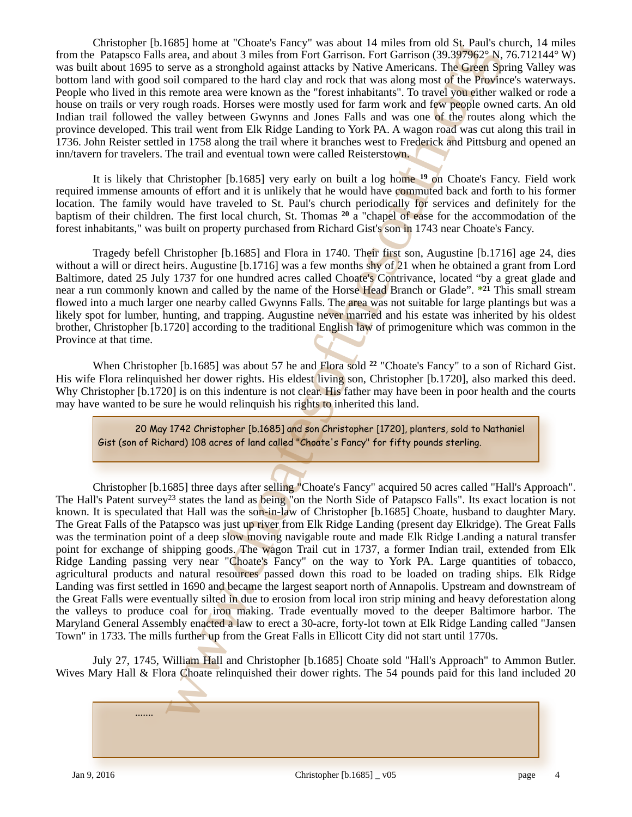Christopher [b.1685] home at "Choate's Fancy" was about 14 miles from old St. Paul's church, 14 miles from the Patapsco Falls area, and about 3 miles from Fort Garrison. Fort Garrison (39.397962° N, 76.712144° W) was built about 1695 to serve as a stronghold against attacks by Native Americans. The Green Spring Valley was bottom land with good soil compared to the hard clay and rock that was along most of the Province's waterways. People who lived in this remote area were known as the "forest inhabitants". To travel you either walked or rode a house on trails or very rough roads. Horses were mostly used for farm work and few people owned carts. An old Indian trail followed the valley between Gwynns and Jones Falls and was one of the routes along which the province developed. This trail went from Elk Ridge Landing to York PA. A wagon road was cut along this trail in 1736. John Reister settled in 1758 along the trail where it branches west to Frederick and Pittsburg and opened an inn/tavern for travelers. The trail and eventual town were called Reisterstown.

<span id="page-3-0"></span>It is likely that Christopher [b.1685] very early on built a log home <sup>19</sup> on Choate's Fancy. Field work required immense amounts of effort and it is unlikely that he would have commuted back and forth to his former location. The family would have traveled to St. Paul's church periodically for services and definitely for the baptism of their children. The first local church, St. Thomas <sup>20</sup> a "chapel of ease for the accommodation of the forest inhabitants," was built on property purchased from Richard Gist's son in 1743 near Choate's Fancy.

<span id="page-3-1"></span>Tragedy befell Christopher [b.1685] and Flora in 1740. Their first son, Augustine [b.1716] age 24, dies without a will or direct heirs. Augustine [b.1716] was a few months shy of 21 when he obtained a grant from Lord Baltimore, dated 25 July 1737 for one hundred acres called Choate's Contrivance, located "by a great glade and near a run commonly known and called by the name of the Horse Head Branch or Glade". \*<sup>21</sup> This small stream flowed into a much larger one nearby called Gwynns Falls. The **area** was not suitable for large plantings but was a likely spot for lumber, hunting, and trapping. Augustine never married and his estate was inherited by his oldest brother, Christopher [b.1720] according to the traditional English law of primogeniture which was common in the Province at that time.

When Christopher [b.1685] was about 57 he and Flora sold <sup>22</sup> "Choate's Fancy" to a son of Richard Gist. His wife Flora relinquished her dower rights. His eldest living son, Christopher [b.1720], also marked this deed. Why Christopher [b.1720] is on this indenture is not clear. His father may have been in poor health and the courts may have wanted to be sure he would relinquish his rights to inherited this land.

<span id="page-3-4"></span><span id="page-3-3"></span><span id="page-3-2"></span>20 May 1742 Christopher [b.1685] and son Christopher [1720], planters, sold to Nathaniel Gist (son of Richard) 108 acres of land called "Choate's Fancy" for fifty pounds sterling.

word how the mail of the Formation and the main of the solution (10)  $30\%/62$ ? Movements at a<br>trop and a stronghold digainst stracks by Native Americans: The Given Solution<br>street and a stronghold digainst stracks by Nat Christopher [b.1685] three days after selling "Choate's Fancy" acquired 50 acres called "Hall's Approach". The Hall's Patent survey<sup>23</sup> states the land as being "on the North Side of Patapsco Falls". Its exact location is not known. It is speculated that Hall was the son-in-law of Christopher [b.1685] Choate, husband to daughter Mary. The Great Falls of the Patapsco was just up river from Elk Ridge Landing (present day Elkridge). The Great Falls was the termination point of a deep slow moving navigable route and made Elk Ridge Landing a natural transfer point for exchange of shipping goods. The wagon Trail cut in 1737, a former Indian trail, extended from Elk Ridge Landing passing very near "Choate's Fancy" on the way to York PA. Large quantities of tobacco, agricultural products and natural resources passed down this road to be loaded on trading ships. Elk Ridge Landing was first settled in 1690 and became the largest seaport north of Annapolis. Upstream and downstream of the Great Falls were eventually silted in due to erosion from local iron strip mining and heavy deforestation along the valleys to produce coal for iron making. Trade eventually moved to the deeper Baltimore harbor. The Maryland General Assembly enacted a law to erect a 30-acre, forty-lot town at Elk Ridge Landing called "Jansen Town" in 1733. The mills further up from the Great Falls in Ellicott City did not start until 1770s.

July 27, 1745, William Hall and Christopher [b.1685] Choate sold "Hall's Approach" to Ammon Butler. Wives Mary Hall & Flora Choate relinquished their dower rights. The 54 pounds paid for this land included 20

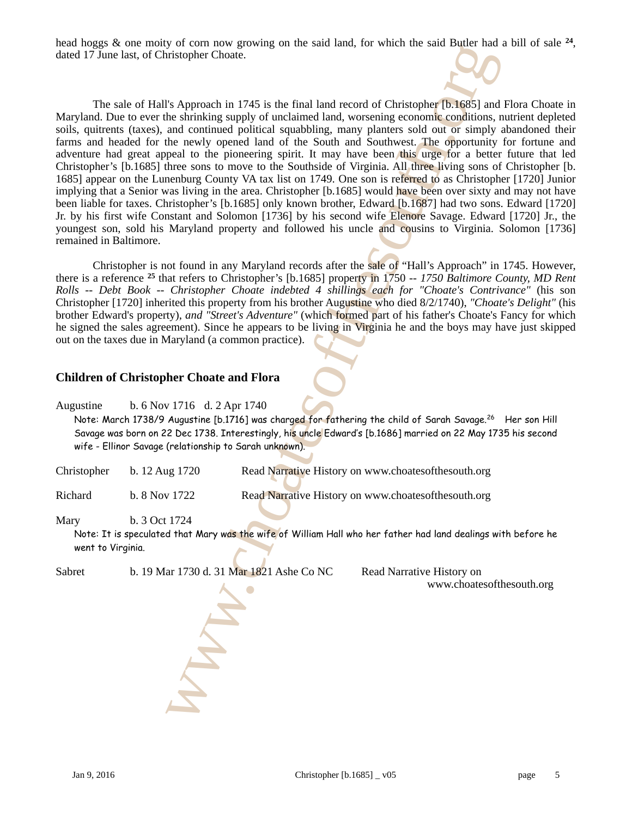head hoggs  $\&$  one moity of corn now growing on the said land, for which the said Butler had a bill of sale  $^{24}$ , dated 17 June last, of Christopher Choate.

<span id="page-4-0"></span>

or two move govennes on the same and and, for which meet and Rangelina Changelina (Spintario)<br>
X Approach in 1745 is the final land record of Christopher [51.65%] and<br>
the shrinking supply of unclaimed land, worsening eco The sale of Hall's Approach in 1745 is the final land record of Christopher [b.1685] and Flora Choate in Maryland. Due to ever the shrinking supply of unclaimed land, worsening economic conditions, nutrient depleted soils, quitrents (taxes), and continued political squabbling, many planters sold out or simply abandoned their farms and headed for the newly opened land of the South and Southwest. The opportunity for fortune and adventure had great appeal to the pioneering spirit. It may have been this urge for a better future that led Christopher's [b.1685] three sons to move to the Southside of Virginia. All three living sons of Christopher [b. 1685] appear on the Lunenburg County VA tax list on 1749. One son is referred to as Christopher [1720] Junior implying that a Senior was living in the area. Christopher [b.1685] would have been over sixty and may not have been liable for taxes. Christopher's [b.1685] only known brother, Edward [b.1687] had two sons. Edward [1720] Jr. by his first wife Constant and Solomon [1736] by his second wife Elenore Savage. Edward [1720] Jr., the youngest son, sold his Maryland property and followed his uncle and cousins to Virginia. Solomon [1736] remained in Baltimore.

<span id="page-4-1"></span> Christopher is not found in any Maryland records after the sale of "Hall's Approach" in 1745. However, there is a reference <sup>25</sup> that refers to Christopher's [b.1685] property in 1750 -- 1750 Baltimore County, MD Rent *Rolls -- Debt Book -- Christopher Choate indebted 4 shillings each for "Choate's Contrivance"* (his son Christopher [1720] inherited this property from his brother Augustine who died 8/2/1740), *"Choate's Delight"* (his brother Edward's property), *and "Street's Adventure"* (which formed part of his father's Choate's Fancy for which he signed the sales agreement). Since he appears to be living in Virginia he and the boys may have just skipped out on the taxes due in Maryland (a common practice).

#### **Children of Christopher Choate and Flora**

Augustine b. 6 Nov 1716 d. 2 Apr 1740

Note: March 1738/9 Augustine [b.1716] was charged for fathering the child of Sarah Savage.<sup>26</sup> Her son Hill Savage was born on 22 Dec 1738. Interestingly, his uncle Edward's [b.1686] married on 22 May 1735 his second wife - Ellinor Savage (relationship to Sarah unknown).

| Christopher | b. $12 \text{ Aug } 1720$ | Read Narrative History on www.choatesofthesouth.org |
|-------------|---------------------------|-----------------------------------------------------|
| Richard     | b. 8 Nov 1722             | Read Narrative History on www.choatesofthesouth.org |

Mary b. 3 Oct 1724

Note: It is speculated that Mary was the wife of William Hall who her father had land dealings with before he went to Virginia.

Sabret b. 19 Mar 1730 d. 31 Mar 1821 Ashe Co NC Read Narrative History on

<span id="page-4-2"></span>www.choatesofthesouth.org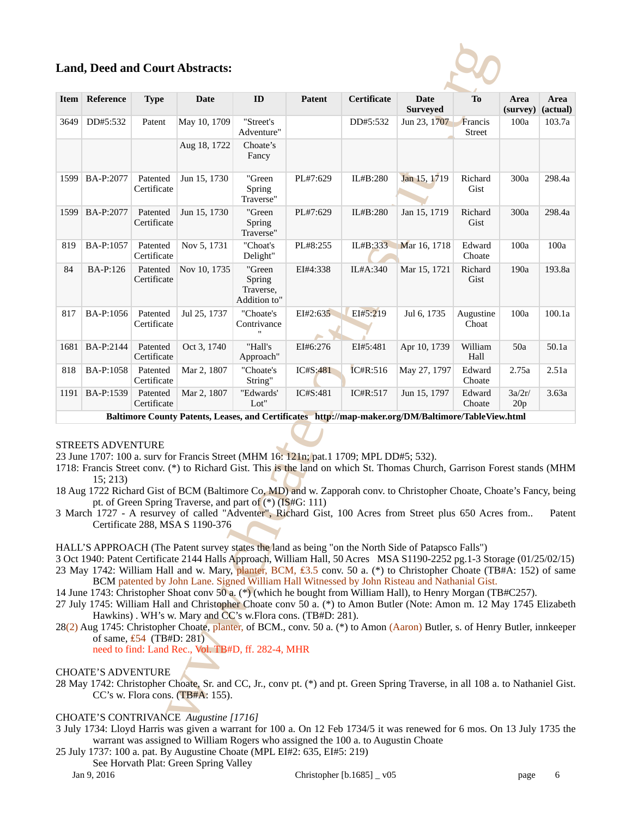## **Land, Deed and Court Abstracts:**



|             |                                      |                                               | <b>Land, Deed and Court Abstracts:</b>                                                         |                                               |                                                                                                                                                                                                                                                                                                                                                                                                                                                                                                                                                                                                                                                                                                                                                                                                                                                                                             |             |                                |                          |                  |                  |
|-------------|--------------------------------------|-----------------------------------------------|------------------------------------------------------------------------------------------------|-----------------------------------------------|---------------------------------------------------------------------------------------------------------------------------------------------------------------------------------------------------------------------------------------------------------------------------------------------------------------------------------------------------------------------------------------------------------------------------------------------------------------------------------------------------------------------------------------------------------------------------------------------------------------------------------------------------------------------------------------------------------------------------------------------------------------------------------------------------------------------------------------------------------------------------------------------|-------------|--------------------------------|--------------------------|------------------|------------------|
| <b>Item</b> | Reference                            | <b>Type</b>                                   | <b>Date</b>                                                                                    | ID                                            | Patent                                                                                                                                                                                                                                                                                                                                                                                                                                                                                                                                                                                                                                                                                                                                                                                                                                                                                      | Certificate | <b>Date</b><br><b>Surveyed</b> | To                       | Area<br>(survey) | Area<br>(actual) |
| 3649        | DD#5:532                             | Patent                                        | May 10, 1709                                                                                   | "Street's<br>Adventure"                       |                                                                                                                                                                                                                                                                                                                                                                                                                                                                                                                                                                                                                                                                                                                                                                                                                                                                                             | DD#5:532    | Jun 23, 1707                   | Francis<br><b>Street</b> | 100a             | 103.7a           |
|             |                                      |                                               | Aug 18, 1722                                                                                   | Choate's<br>Fancy                             |                                                                                                                                                                                                                                                                                                                                                                                                                                                                                                                                                                                                                                                                                                                                                                                                                                                                                             |             |                                |                          |                  |                  |
| 1599        | BA-P:2077                            | Patented<br>Certificate                       | Jun 15, 1730                                                                                   | "Green<br>Spring<br>Traverse"                 | PL#7:629                                                                                                                                                                                                                                                                                                                                                                                                                                                                                                                                                                                                                                                                                                                                                                                                                                                                                    | IL#B:280    | Jan 15, 1719                   | Richard<br>Gist          | 300a             | 298.4a           |
| 1599        | BA-P:2077                            | Patented<br>Certificate                       | Jun 15, 1730                                                                                   | "Green<br>Spring<br>Traverse"                 | PL#7:629                                                                                                                                                                                                                                                                                                                                                                                                                                                                                                                                                                                                                                                                                                                                                                                                                                                                                    | IL#B:280    | Jan 15, 1719                   | Richard<br>Gist          | 300a             | 298.4a           |
| 819         | BA-P:1057                            | Patented<br>Certificate                       | Nov 5, 1731                                                                                    | "Choat's<br>Delight"                          | PL#8:255                                                                                                                                                                                                                                                                                                                                                                                                                                                                                                                                                                                                                                                                                                                                                                                                                                                                                    | IL#B:333    | Mar 16, 1718                   | Edward<br>Choate         | 100a             | 100a             |
| 84          | BA-P:126                             | Patented<br>Certificate                       | Nov 10, 1735                                                                                   | "Green<br>Spring<br>Traverse,<br>Addition to" | EI#4:338                                                                                                                                                                                                                                                                                                                                                                                                                                                                                                                                                                                                                                                                                                                                                                                                                                                                                    | IL#A:340    | Mar 15, 1721                   | Richard<br>Gist          | 190a             | 193.8a           |
| 817         | BA-P:1056                            | Patented<br>Certificate                       | Jul 25, 1737                                                                                   | "Choate's<br>Contrivance                      | EI#2:635                                                                                                                                                                                                                                                                                                                                                                                                                                                                                                                                                                                                                                                                                                                                                                                                                                                                                    | EI#5:219    | Jul 6, 1735                    | Augustine<br>Choat       | 100a             | 100.1a           |
|             | 1681 BA-P:2144                       | Patented<br>Certificate                       | Oct 3, 1740                                                                                    | "Hall's<br>Approach"                          | EI#6:276                                                                                                                                                                                                                                                                                                                                                                                                                                                                                                                                                                                                                                                                                                                                                                                                                                                                                    | EI#5:481    | Apr 10, 1739                   | William<br>Hall          | 50a              | 50.1a            |
| 818         | BA-P:1058                            | Patented<br>Certificate                       | Mar 2, 1807                                                                                    | "Choate's<br>String"                          | IC#S:481                                                                                                                                                                                                                                                                                                                                                                                                                                                                                                                                                                                                                                                                                                                                                                                                                                                                                    | IC#R:516    | May 27, 1797                   | Edward<br>Choate         | 2.75a            | 2.51a            |
| 1191        | BA-P:1539                            | Patented<br>Certificate                       | Mar 2, 1807                                                                                    | "Edwards"<br>Lot"                             | IC#S:481                                                                                                                                                                                                                                                                                                                                                                                                                                                                                                                                                                                                                                                                                                                                                                                                                                                                                    | IC#R:517    | Jun 15, 1797                   | Edward<br>Choate         | 3a/2r/<br>20p    | 3.63a            |
|             |                                      |                                               |                                                                                                |                                               | Baltimore County Patents, Leases, and Certificates http://map-maker.org/DM/Baltimore/TableView.html                                                                                                                                                                                                                                                                                                                                                                                                                                                                                                                                                                                                                                                                                                                                                                                         |             |                                |                          |                  |                  |
|             | <b>STREETS ADVENTURE</b><br>15; 213) |                                               | pt. of Green Spring Traverse, and part of $(*)$ (IS#G: 111)<br>Certificate 288, MSA S 1190-376 |                                               | 23 June 1707: 100 a. surv for Francis Street (MHM 16: 121n; pat.1 1709; MPL DD#5; 532).<br>1718: Francis Street conv. (*) to Richard Gist. This is the land on which St. Thomas Church, Garrison Forest stands (MHM<br>18 Aug 1722 Richard Gist of BCM (Baltimore Co, MD) and w. Zapporah conv. to Christopher Choate, Choate's Fancy, being<br>3 March 1727 - A resurvey of called "Adventer", Richard Gist, 100 Acres from Street plus 650 Acres from                                                                                                                                                                                                                                                                                                                                                                                                                                     |             |                                |                          |                  | Patent           |
|             |                                      | of same, $\text{\textsterling}54$ (TB#D: 281) | need to find: Land Rec., Vol. TB#D, ff. 282-4, MHR                                             |                                               | HALL'S APPROACH (The Patent survey states the land as being "on the North Side of Patapsco Falls")<br>3 Oct 1940: Patent Certificate 2144 Halls Approach, William Hall, 50 Acres MSA S1190-2252 pg.1-3 Storage (01/25/02/15)<br>23 May 1742: William Hall and w. Mary, planter, BCM, £3.5 conv. 50 a. (*) to Christopher Choate (TB#A: 152) of same<br>BCM patented by John Lane. Signed William Hall Witnessed by John Risteau and Nathanial Gist.<br>14 June 1743: Christopher Shoat conv 50 a. (*) (which he bought from William Hall), to Henry Morgan (TB#C257).<br>27 July 1745: William Hall and Christopher Choate conv 50 a. (*) to Amon Butler (Note: Amon m. 12 May 1745 Elizabeth<br>Hawkins). WH's w. Mary and CC's w. Flora cons. (TB#D: 281).<br>28(2) Aug 1745: Christopher Choate, planter, of BCM., conv. 50 a. (*) to Amon (Aaron) Butler, s. of Henry Butler, innkeeper |             |                                |                          |                  |                  |
|             | <b>CHOATE'S ADVENTURE</b>            |                                               | $CC's$ w. Flora cons. (TB#A: 155).                                                             |                                               | 28 May 1742: Christopher Choate, Sr. and CC, Jr., conv pt. (*) and pt. Green Spring Traverse, in all 108 a. to Nathaniel Gist.                                                                                                                                                                                                                                                                                                                                                                                                                                                                                                                                                                                                                                                                                                                                                              |             |                                |                          |                  |                  |
|             |                                      |                                               | CHOATE'S CONTRIVANCE Augustine [1716]                                                          |                                               |                                                                                                                                                                                                                                                                                                                                                                                                                                                                                                                                                                                                                                                                                                                                                                                                                                                                                             |             |                                |                          |                  |                  |

### STREETS ADVENTURE

- 1718: Francis Street conv. (\*) to Richard Gist. This is the land on which St. Thomas Church, Garrison Forest stands (MHM 15; 213)
- 18 Aug 1722 Richard Gist of BCM (Baltimore Co, MD) and w. Zapporah conv. to Christopher Choate, Choate's Fancy, being pt. of Green Spring Traverse, and part of (\*) (IS#G: 111)
- 3 March 1727 A resurvey of called "Adventer", Richard Gist, 100 Acres from Street plus 650 Acres from.. Patent Certificate 288, MSA S 1190-376

- 14 June 1743: Christopher Shoat conv 50 a. (\*) (which he bought from William Hall), to Henry Morgan (TB#C257).
- 27 July 1745: William Hall and Christopher Choate conv 50 a. (\*) to Amon Butler (Note: Amon m. 12 May 1745 Elizabeth Hawkins) . WH's w. Mary and CC's w.Flora cons. (TB#D: 281).
- 28(2) Aug 1745: Christopher Choate, planter, of BCM., conv. 50 a. (\*) to Amon (Aaron) Butler, s. of Henry Butler, innkeeper of same,  $£54$  (TB#D: 281)

### CHOATE'S CONTRIVANCE *Augustine [1716]*

- 3 July 1734: Lloyd Harris was given a warrant for 100 a. On 12 Feb 1734/5 it was renewed for 6 mos. On 13 July 1735 the warrant was assigned to William Rogers who assigned the 100 a. to Augustin Choate
- 25 July 1737: 100 a. pat. By Augustine Choate (MPL EI#2: 635, EI#5: 219)
- See Horvath Plat: Green Spring Valley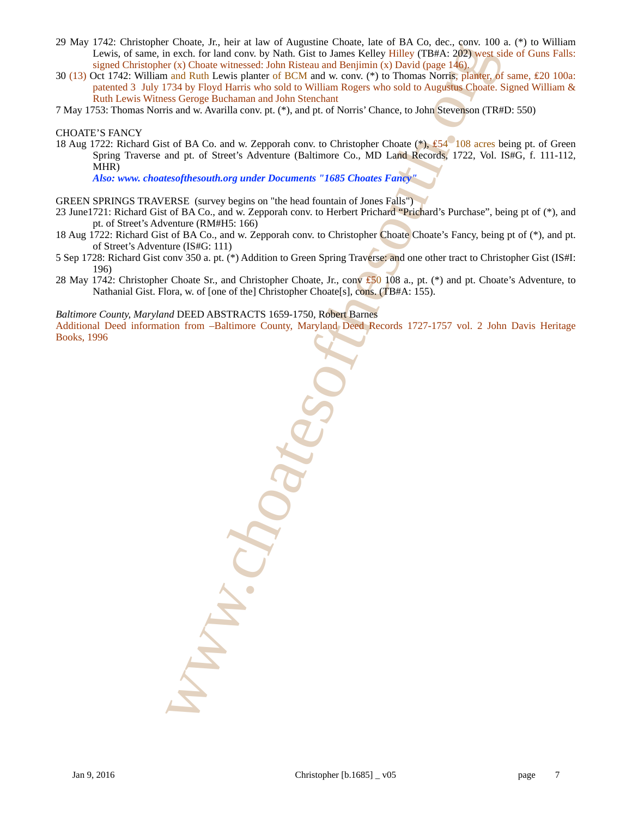- 29 May 1742: Christopher Choate, Jr., heir at law of Augustine Choate, late of BA Co, dec., conv. 100 a. (\*) to William Lewis, of same, in exch. for land conv. by Nath. Gist to James Kelley Hilley (TB#A: 202) west side of Guns Falls: signed Christopher (x) Choate witnessed: John Risteau and Benjimin (x) David (page  $146$ ).
- 30 (13) Oct 1742: William and Ruth Lewis planter of BCM and w. conv. (\*) to Thomas Norris, planter, of same, £20 100a: patented 3 July 1734 by Floyd Harris who sold to William Rogers who sold to Augustus Choate. Signed William & Ruth Lewis Witness Geroge Buchaman and John Stenchant
- 7 May 1753: Thomas Norris and w. Avarilla conv. pt. (\*), and pt. of Norris' Chance, to John Stevenson (TR#D: 550)

#### CHOATE'S FANCY

18 Aug 1722: Richard Gist of BA Co. and w. Zepporah conv. to Christopher Choate (\*), £54 108 acres being pt. of Green Spring Traverse and pt. of Street's Adventure (Baltimore Co., MD Land Records, 1722, Vol. IS#G, f. 111-112, MHR)

*Also: www. choatesofthesouth.org under Documents "1685 Choates Fancy"*

- GREEN SPRINGS TRAVERSE (survey begins on "the head fountain of Jones Falls")
- 23 June1721: Richard Gist of BA Co., and w. Zepporah conv. to Herbert Prichard "Prichard's Purchase", being pt of (\*), and pt. of Street's Adventure (RM#H5: 166)
- 18 Aug 1722: Richard Gist of BA Co., and w. Zepporah conv. to Christopher Choate Choate's Fancy, being pt of (\*), and pt. of Street's Adventure (IS#G: 111)
- 5 Sep 1728: Richard Gist conv 350 a. pt. (\*) Addition to Green Spring Traverse: and one other tract to Christopher Gist (IS#I: 196)
- 28 May 1742: Christopher Choate Sr., and Christopher Choate, Jr., conv £50 108 a., pt. (\*) and pt. Choate's Adventure, to Nathanial Gist. Flora, w. of [one of the] Christopher Choate[s], cons. (TB#A: 155).

*Baltimore County, Maryland* DEED ABSTRACTS 1659-1750*,* Robert Barnes

Additional Deed information from –Baltimore County, Maryland Deed Records 1727-1757 vol. 2 John Davis Heritage Books, 1996

excels for land convex by Nath Citat to Ennoy Replace the principal convex and the method of the Citat of the south of the south of the south of the south of the south of the south of the south of the south of the south o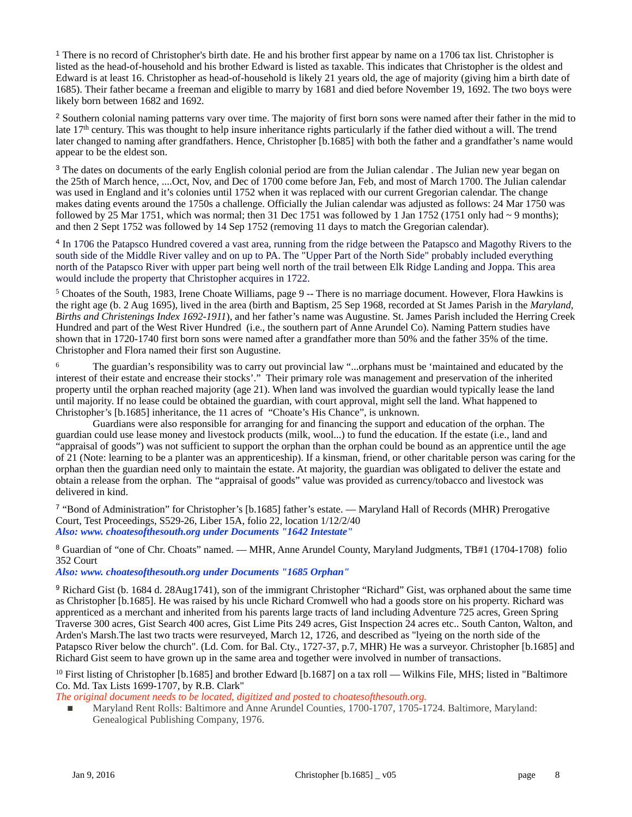<span id="page-7-0"></span><sup>[1](#page-0-0)</sup> There is no record of Christopher's birth date. He and his brother first appear by name on a 1706 tax list. Christopher is listed as the head-of-household and his brother Edward is listed as taxable. This indicates that Christopher is the oldest and Edward is at least 16. Christopher as head-of-household is likely 21 years old, the age of majority (giving him a birth date of 1685). Their father became a freeman and eligible to marry by 1681 and died before November 19, 1692. The two boys were likely born between 1682 and 1692.

<span id="page-7-1"></span><sup>[2](#page-0-1)</sup> Southern colonial naming patterns vary over time. The majority of first born sons were named after their father in the mid to late 17<sup>th</sup> century. This was thought to help insure inheritance rights particularly if the father died without a will. The trend later changed to naming after grandfathers. Hence, Christopher [b.1685] with both the father and a grandfather's name would appear to be the eldest son.

<span id="page-7-2"></span><sup>[3](#page-0-2)</sup> The dates on documents of the early English colonial period are from the Julian calendar . The Julian new year began on the 25th of March hence, ....Oct, Nov, and Dec of 1700 come before Jan, Feb, and most of March 1700. The Julian calendar was used in England and it's colonies until 1752 when it was replaced with our current Gregorian calendar. The change makes dating events around the 1750s a challenge. Officially the Julian calendar was adjusted as follows: 24 Mar 1750 was followed by 25 Mar 1751, which was normal; then 31 Dec 1751 was followed by 1 Jan 1752 (1751 only had  $\sim$  9 months); and then 2 Sept 1752 was followed by 14 Sep 1752 (removing 11 days to match the Gregorian calendar).

<span id="page-7-3"></span><sup>[4](#page-0-3)</sup> In 1706 the Patapsco Hundred covered a vast area, running from the ridge between the Patapsco and Magothy Rivers to the south side of the Middle River valley and on up to PA. The "Upper Part of the North Side" probably included everything north of the Patapsco River with upper part being well north of the trail between Elk Ridge Landing and Joppa. This area would include the property that Christopher acquires in 1722.

<span id="page-7-4"></span><sup>[5](#page-0-4)</sup> Choates of the South, 1983, Irene Choate Williams, page 9 -- There is no marriage document. However, Flora Hawkins is the right age (b. 2 Aug 1695), lived in the area (birth and Baptism, 25 Sep 1968, recorded at St James Parish in the *Maryland, Births and Christenings Index 1692-1911*), and her father's name was Augustine. St. James Parish included the Herring Creek Hundred and part of the West River Hundred (i.e., the southern part of Anne Arundel Co). Naming Pattern studies have shown that in 1720-1740 first born sons were named after a grandfather more than 50% and the father 35% of the time. Christopher and Flora named their first son Augustine.

<span id="page-7-5"></span> The guardian's responsibility was to carry out provincial law "...orphans must be 'maintained and educated by the [6](#page-0-5) interest of their estate and encrease their stocks'." Their primary role was management and preservation of the inherited property until the orphan reached majority (age 21). When land was involved the guardian would typically lease the land until majority. If no lease could be obtained the guardian, with court approval, might sell the land. What happened to Christopher's [b.1685] inheritance, the 11 acres of "Choate's His Chance", is unknown.

 Guardians were also responsible for arranging for and financing the support and education of the orphan. The guardian could use lease money and livestock products (milk, wool...) to fund the education. If the estate (i.e., land and "appraisal of goods") was not sufficient to support the orphan than the orphan could be bound as an apprentice until the age of 21 (Note: learning to be a planter was an apprenticeship). If a kinsman, friend, or other charitable person was caring for the orphan then the guardian need only to maintain the estate. At majority, the guardian was obligated to deliver the estate and obtain a release from the orphan. The "appraisal of goods" value was provided as currency/tobacco and livestock was delivered in kind.

<span id="page-7-6"></span><sup>[7](#page-0-6)</sup> "Bond of Administration" for Christopher's [b.1685] father's estate. — Maryland Hall of Records (MHR) Prerogative Court, Test Proceedings, S529-26, Liber 15A, folio 22, location 1/12/2/40 *Also: www. choatesofthesouth.org under Documents "1642 Intestate"*

<span id="page-7-7"></span>Guardian of "one of Chr. Choats" named. — MHR, Anne Arundel County, Maryland Judgments, TB#1 (1704-1708) folio [8](#page-0-7) 352 Court

*Also: www. choatesofthesouth.org under Documents "1685 Orphan"*

<span id="page-7-8"></span><sup>[9](#page-1-0)</sup> Richard Gist (b. 1684 d. 28Aug1741), son of the immigrant Christopher "Richard" Gist, was orphaned about the same time as Christopher [b.1685]. He was raised by his uncle Richard Cromwell who had a goods store on his property. Richard was apprenticed as a merchant and inherited from his parents large tracts of land including Adventure 725 acres, Green Spring Traverse 300 acres, Gist Search 400 acres, Gist Lime Pits 249 acres, Gist Inspection 24 acres etc.. South Canton, Walton, and Arden's Marsh.The last two tracts were resurveyed, March 12, 1726, and described as "lyeing on the north side of the Patapsco River below the church". (Ld. Com. for Bal. Cty., 1727-37, p.7, MHR) He was a surveyor. Christopher [b.1685] and Richard Gist seem to have grown up in the same area and together were involved in number of transactions.

<span id="page-7-9"></span> $10$ First listing of Christopher [b.1685] and brother Edward [b.1687] on a tax roll — Wilkins File, MHS; listed in "Baltimore Co. Md. Tax Lists 1699-1707, by R.B. Clark"

*The original document needs to be located, digitized and posted to choatesofthesouth.org.*

Maryland Rent Rolls: Baltimore and Anne Arundel Counties, 1700-1707, 1705-1724. Baltimore, Maryland: Genealogical Publishing Company, 1976.